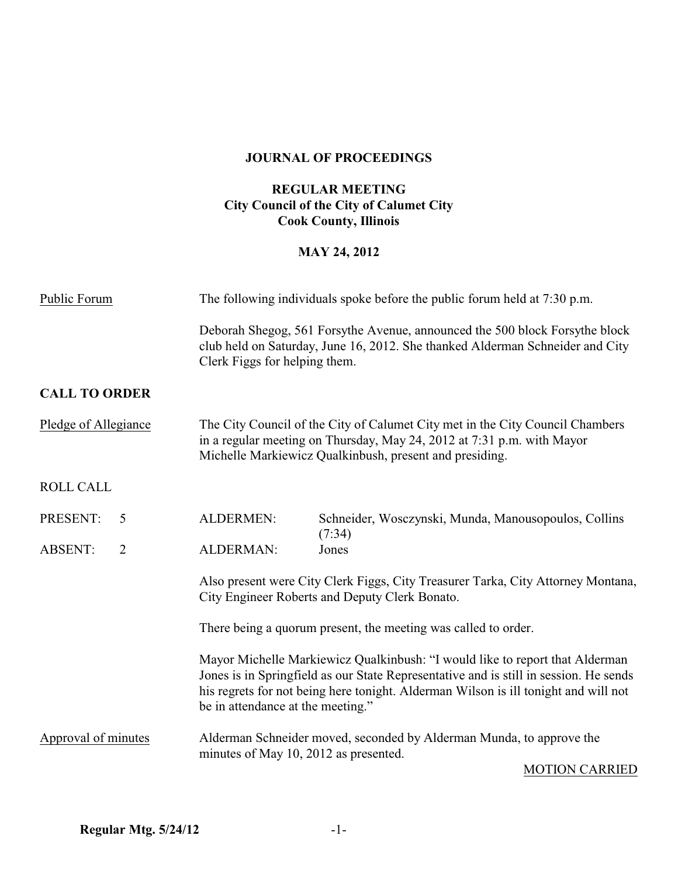## **JOURNAL OF PROCEEDINGS**

### **REGULAR MEETING City Council of the City of Calumet City Cook County, Illinois**

## **MAY 24, 2012**

| Public Forum                     | The following individuals spoke before the public forum held at 7:30 p.m.                                                                                                                                          |                                                                                                                                                                                                                                                              |
|----------------------------------|--------------------------------------------------------------------------------------------------------------------------------------------------------------------------------------------------------------------|--------------------------------------------------------------------------------------------------------------------------------------------------------------------------------------------------------------------------------------------------------------|
|                                  | Deborah Shegog, 561 Forsythe Avenue, announced the 500 block Forsythe block<br>club held on Saturday, June 16, 2012. She thanked Alderman Schneider and City<br>Clerk Figgs for helping them.                      |                                                                                                                                                                                                                                                              |
| <b>CALL TO ORDER</b>             |                                                                                                                                                                                                                    |                                                                                                                                                                                                                                                              |
| Pledge of Allegiance             | The City Council of the City of Calumet City met in the City Council Chambers<br>in a regular meeting on Thursday, May 24, 2012 at 7:31 p.m. with Mayor<br>Michelle Markiewicz Qualkinbush, present and presiding. |                                                                                                                                                                                                                                                              |
| <b>ROLL CALL</b>                 |                                                                                                                                                                                                                    |                                                                                                                                                                                                                                                              |
| PRESENT:<br>5                    | <b>ALDERMEN:</b>                                                                                                                                                                                                   | Schneider, Wosczynski, Munda, Manousopoulos, Collins<br>(7:34)                                                                                                                                                                                               |
| $\overline{2}$<br><b>ABSENT:</b> | <b>ALDERMAN:</b>                                                                                                                                                                                                   | Jones                                                                                                                                                                                                                                                        |
|                                  |                                                                                                                                                                                                                    | Also present were City Clerk Figgs, City Treasurer Tarka, City Attorney Montana,<br>City Engineer Roberts and Deputy Clerk Bonato.                                                                                                                           |
|                                  | There being a quorum present, the meeting was called to order.                                                                                                                                                     |                                                                                                                                                                                                                                                              |
|                                  | be in attendance at the meeting."                                                                                                                                                                                  | Mayor Michelle Markiewicz Qualkinbush: "I would like to report that Alderman<br>Jones is in Springfield as our State Representative and is still in session. He sends<br>his regrets for not being here tonight. Alderman Wilson is ill tonight and will not |
| Approval of minutes              | Alderman Schneider moved, seconded by Alderman Munda, to approve the<br>minutes of May 10, 2012 as presented.                                                                                                      |                                                                                                                                                                                                                                                              |

MOTION CARRIED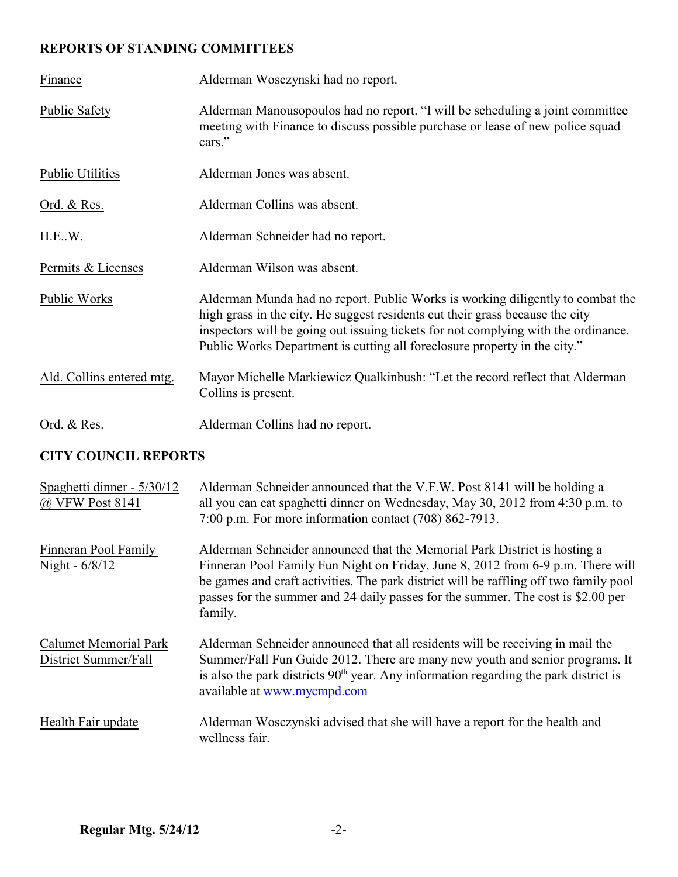## **REPORTS OF STANDING COMMITTEES**

| Finance                   | Alderman Wosczynski had no report.                                                                                                                                                                                                                                                                                                 |
|---------------------------|------------------------------------------------------------------------------------------------------------------------------------------------------------------------------------------------------------------------------------------------------------------------------------------------------------------------------------|
| <b>Public Safety</b>      | Alderman Manousopoulos had no report. "I will be scheduling a joint committee<br>meeting with Finance to discuss possible purchase or lease of new police squad<br>cars."                                                                                                                                                          |
| <b>Public Utilities</b>   | Alderman Jones was absent.                                                                                                                                                                                                                                                                                                         |
| <u>Ord. &amp; Res.</u>    | Alderman Collins was absent.                                                                                                                                                                                                                                                                                                       |
| H.EW.                     | Alderman Schneider had no report.                                                                                                                                                                                                                                                                                                  |
| Permits & Licenses        | Alderman Wilson was absent.                                                                                                                                                                                                                                                                                                        |
| Public Works              | Alderman Munda had no report. Public Works is working diligently to combat the<br>high grass in the city. He suggest residents cut their grass because the city<br>inspectors will be going out issuing tickets for not complying with the ordinance.<br>Public Works Department is cutting all foreclosure property in the city." |
| Ald. Collins entered mtg. | Mayor Michelle Markiewicz Qualkinbush: "Let the record reflect that Alderman<br>Collins is present.                                                                                                                                                                                                                                |
| Ord. & Res.               | Alderman Collins had no report.                                                                                                                                                                                                                                                                                                    |

## **CITY COUNCIL REPORTS**

| Spaghetti dinner - 5/30/12<br>@ VFW Post 8141        | Alderman Schneider announced that the V.F.W. Post 8141 will be holding a<br>all you can eat spaghetti dinner on Wednesday, May 30, 2012 from 4:30 p.m. to<br>7:00 p.m. For more information contact (708) 862-7913.                                                                                                                                  |
|------------------------------------------------------|------------------------------------------------------------------------------------------------------------------------------------------------------------------------------------------------------------------------------------------------------------------------------------------------------------------------------------------------------|
| Finneran Pool Family<br>Night - 6/8/12               | Alderman Schneider announced that the Memorial Park District is hosting a<br>Finneran Pool Family Fun Night on Friday, June 8, 2012 from 6-9 p.m. There will<br>be games and craft activities. The park district will be raffling off two family pool<br>passes for the summer and 24 daily passes for the summer. The cost is \$2.00 per<br>family. |
| <b>Calumet Memorial Park</b><br>District Summer/Fall | Alderman Schneider announced that all residents will be receiving in mail the<br>Summer/Fall Fun Guide 2012. There are many new youth and senior programs. It<br>is also the park districts $90th$ year. Any information regarding the park district is<br>available at www.mycmpd.com                                                               |
| Health Fair update                                   | Alderman Wosczynski advised that she will have a report for the health and<br>wellness fair.                                                                                                                                                                                                                                                         |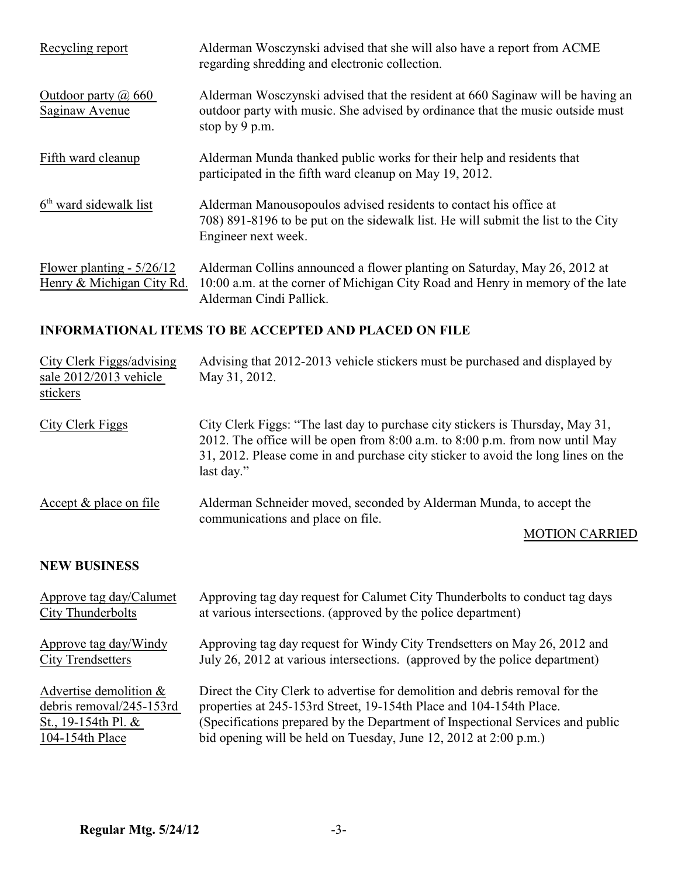| Recycling report                                         | Alderman Wosczynski advised that she will also have a report from ACME<br>regarding shredding and electronic collection.                                                               |
|----------------------------------------------------------|----------------------------------------------------------------------------------------------------------------------------------------------------------------------------------------|
| Outdoor party $\omega$ 660<br>Saginaw Avenue             | Alderman Wosczynski advised that the resident at 660 Saginaw will be having an<br>outdoor party with music. She advised by ordinance that the music outside must<br>stop by 9 p.m.     |
| Fifth ward cleanup                                       | Alderman Munda thanked public works for their help and residents that<br>participated in the fifth ward cleanup on May 19, 2012.                                                       |
| $6th$ ward sidewalk list                                 | Alderman Manousopoulos advised residents to contact his office at<br>708) 891-8196 to be put on the sidewalk list. He will submit the list to the City<br>Engineer next week.          |
| Flower planting - $5/26/12$<br>Henry & Michigan City Rd. | Alderman Collins announced a flower planting on Saturday, May 26, 2012 at<br>10:00 a.m. at the corner of Michigan City Road and Henry in memory of the late<br>Alderman Cindi Pallick. |

## **INFORMATIONAL ITEMS TO BE ACCEPTED AND PLACED ON FILE**

| City Clerk Figgs/advising<br>sale 2012/2013 vehicle<br>stickers             | Advising that 2012-2013 vehicle stickers must be purchased and displayed by<br>May 31, 2012.                                                                                                                                                                      |
|-----------------------------------------------------------------------------|-------------------------------------------------------------------------------------------------------------------------------------------------------------------------------------------------------------------------------------------------------------------|
| City Clerk Figgs                                                            | City Clerk Figgs: "The last day to purchase city stickers is Thursday, May 31,<br>2012. The office will be open from 8:00 a.m. to 8:00 p.m. from now until May<br>31, 2012. Please come in and purchase city sticker to avoid the long lines on the<br>last day." |
| Accept $&$ place on file                                                    | Alderman Schneider moved, seconded by Alderman Munda, to accept the<br>communications and place on file.<br><b>MOTION CARRIED</b>                                                                                                                                 |
| <b>NEW BUSINESS</b>                                                         |                                                                                                                                                                                                                                                                   |
| Approve tag day/Calumet<br>City Thunderbolts                                | Approving tag day request for Calumet City Thunderbolts to conduct tag days<br>at various intersections. (approved by the police department)                                                                                                                      |
| Approve tag day/Windy<br><b>City Trendsetters</b>                           | Approving tag day request for Windy City Trendsetters on May 26, 2012 and<br>July 26, 2012 at various intersections. (approved by the police department)                                                                                                          |
| Advertise demolition &<br>debris removal/245-153rd<br>St., 19-154th Pl. $&$ | Direct the City Clerk to advertise for demolition and debris removal for the<br>properties at 245-153rd Street, 19-154th Place and 104-154th Place.                                                                                                               |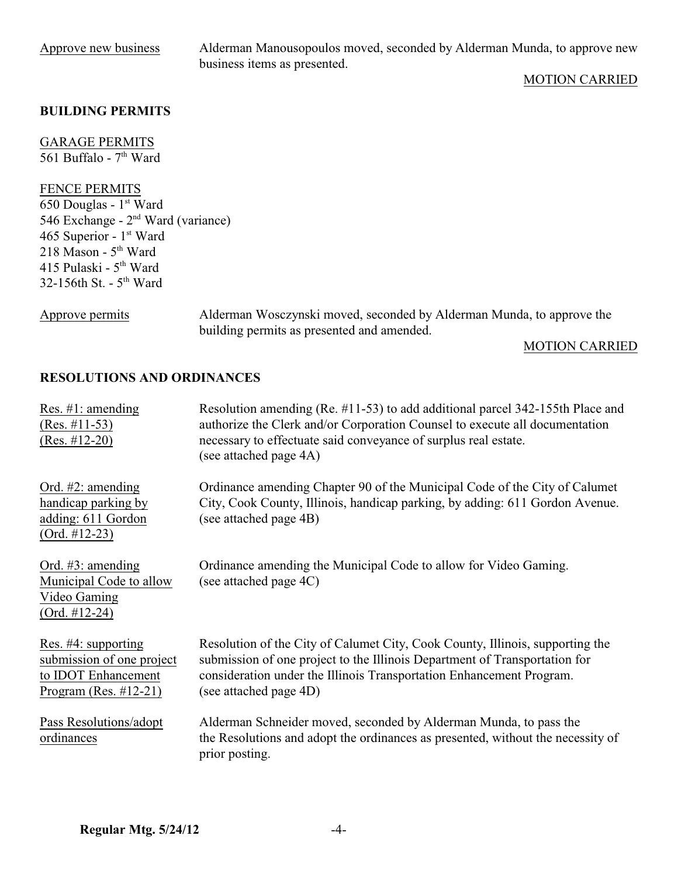Approve new business Alderman Manousopoulos moved, seconded by Alderman Munda, to approve new business items as presented.

### MOTION CARRIED

### **BUILDING PERMITS**

GARAGE PERMITS 561 Buffalo -  $7<sup>th</sup>$  Ward

#### FENCE PERMITS

 $\overline{650}$  Douglas - 1<sup>st</sup> Ward 546 Exchange -  $2<sup>nd</sup>$  Ward (variance) 465 Superior -  $1<sup>st</sup>$  Ward 218 Mason -  $5<sup>th</sup>$  Ward 415 Pulaski -  $5<sup>th</sup>$  Ward 32-156th St. -  $5<sup>th</sup>$  Ward

Approve permits Alderman Wosczynski moved, seconded by Alderman Munda, to approve the building permits as presented and amended.

#### MOTION CARRIED

### **RESOLUTIONS AND ORDINANCES**

| Res. $\#1$ : amending<br>$(Res. \#11-53)$<br>$(Res. #12-20)$                                                   | Resolution amending (Re. #11-53) to add additional parcel 342-155th Place and<br>authorize the Clerk and/or Corporation Counsel to execute all documentation<br>necessary to effectuate said conveyance of surplus real estate.<br>(see attached page 4A)     |
|----------------------------------------------------------------------------------------------------------------|---------------------------------------------------------------------------------------------------------------------------------------------------------------------------------------------------------------------------------------------------------------|
| Ord. $#2$ : amending<br>handicap parking by<br>adding: 611 Gordon<br>$(Ord. #12-23)$                           | Ordinance amending Chapter 90 of the Municipal Code of the City of Calumet<br>City, Cook County, Illinois, handicap parking, by adding: 611 Gordon Avenue.<br>(see attached page 4B)                                                                          |
| Ord. $#3$ : amending<br>Municipal Code to allow<br>Video Gaming<br>$(Ord. #12-24)$                             | Ordinance amending the Municipal Code to allow for Video Gaming.<br>(see attached page 4C)                                                                                                                                                                    |
| Res. $#4$ : supporting<br>submission of one project<br>to <b>IDOT</b> Enhancement<br>Program (Res. $\#12-21$ ) | Resolution of the City of Calumet City, Cook County, Illinois, supporting the<br>submission of one project to the Illinois Department of Transportation for<br>consideration under the Illinois Transportation Enhancement Program.<br>(see attached page 4D) |
| Pass Resolutions/adopt<br>ordinances                                                                           | Alderman Schneider moved, seconded by Alderman Munda, to pass the<br>the Resolutions and adopt the ordinances as presented, without the necessity of<br>prior posting.                                                                                        |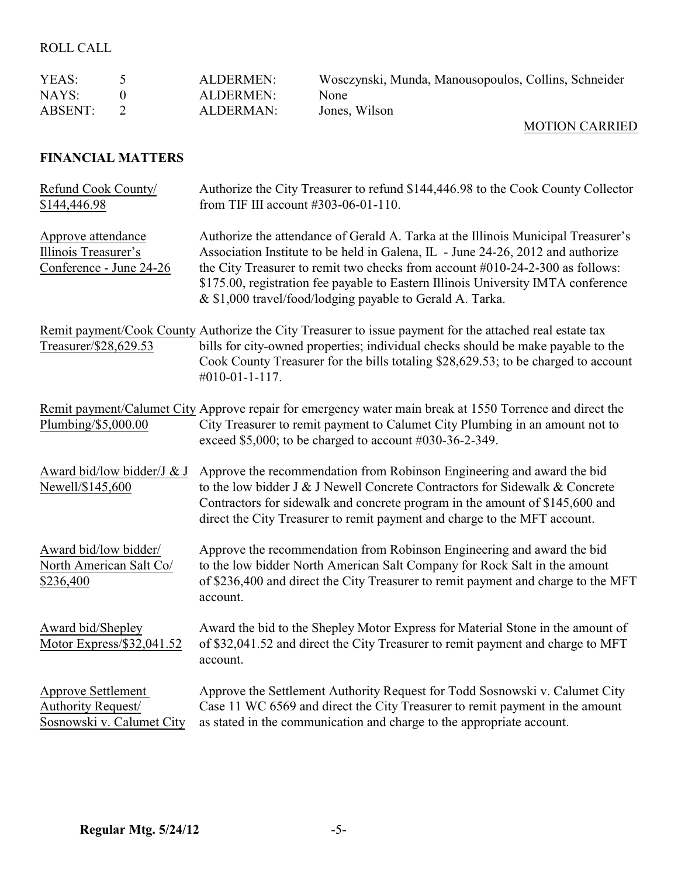## ROLL CALL

| YEAS:          | ALDERMEN: | Wosczynski, Munda, Manousopoulos, Collins, Schneider |
|----------------|-----------|------------------------------------------------------|
| NAYS:          | ALDERMEN: | None                                                 |
| <b>ABSENT:</b> | ALDERMAN: | Jones, Wilson                                        |

### MOTION CARRIED

## **FINANCIAL MATTERS**

| Refund Cook County/<br>\$144,446.98                                   | Authorize the City Treasurer to refund \$144,446.98 to the Cook County Collector<br>from TIF III account #303-06-01-110.                                                                                                                                                                                                                                                                                |
|-----------------------------------------------------------------------|---------------------------------------------------------------------------------------------------------------------------------------------------------------------------------------------------------------------------------------------------------------------------------------------------------------------------------------------------------------------------------------------------------|
| Approve attendance<br>Illinois Treasurer's<br>Conference - June 24-26 | Authorize the attendance of Gerald A. Tarka at the Illinois Municipal Treasurer's<br>Association Institute to be held in Galena, IL - June 24-26, 2012 and authorize<br>the City Treasurer to remit two checks from account #010-24-2-300 as follows:<br>\$175.00, registration fee payable to Eastern Illinois University IMTA conference<br>& \$1,000 travel/food/lodging payable to Gerald A. Tarka. |
| Treasurer/\$28,629.53                                                 | Remit payment/Cook County Authorize the City Treasurer to issue payment for the attached real estate tax<br>bills for city-owned properties; individual checks should be make payable to the<br>Cook County Treasurer for the bills totaling \$28,629.53; to be charged to account<br>#010-01-1-117.                                                                                                    |
| Plumbing/\$5,000.00                                                   | Remit payment/Calumet City Approve repair for emergency water main break at 1550 Torrence and direct the<br>City Treasurer to remit payment to Calumet City Plumbing in an amount not to<br>exceed \$5,000; to be charged to account $\#030-36-2-349$ .                                                                                                                                                 |
| Award bid/low bidder/J & J<br>Newell/\$145,600                        | Approve the recommendation from Robinson Engineering and award the bid<br>to the low bidder J & J Newell Concrete Contractors for Sidewalk & Concrete<br>Contractors for sidewalk and concrete program in the amount of \$145,600 and<br>direct the City Treasurer to remit payment and charge to the MFT account.                                                                                      |
| Award bid/low bidder/<br>North American Salt Co/<br>\$236,400         | Approve the recommendation from Robinson Engineering and award the bid<br>to the low bidder North American Salt Company for Rock Salt in the amount<br>of \$236,400 and direct the City Treasurer to remit payment and charge to the MFT<br>account.                                                                                                                                                    |
| Award bid/Shepley<br>Motor Express/\$32,041.52                        | Award the bid to the Shepley Motor Express for Material Stone in the amount of<br>of \$32,041.52 and direct the City Treasurer to remit payment and charge to MFT<br>account.                                                                                                                                                                                                                           |
| Approve Settlement<br>Authority Request/<br>Sosnowski v. Calumet City | Approve the Settlement Authority Request for Todd Sosnowski v. Calumet City<br>Case 11 WC 6569 and direct the City Treasurer to remit payment in the amount<br>as stated in the communication and charge to the appropriate account.                                                                                                                                                                    |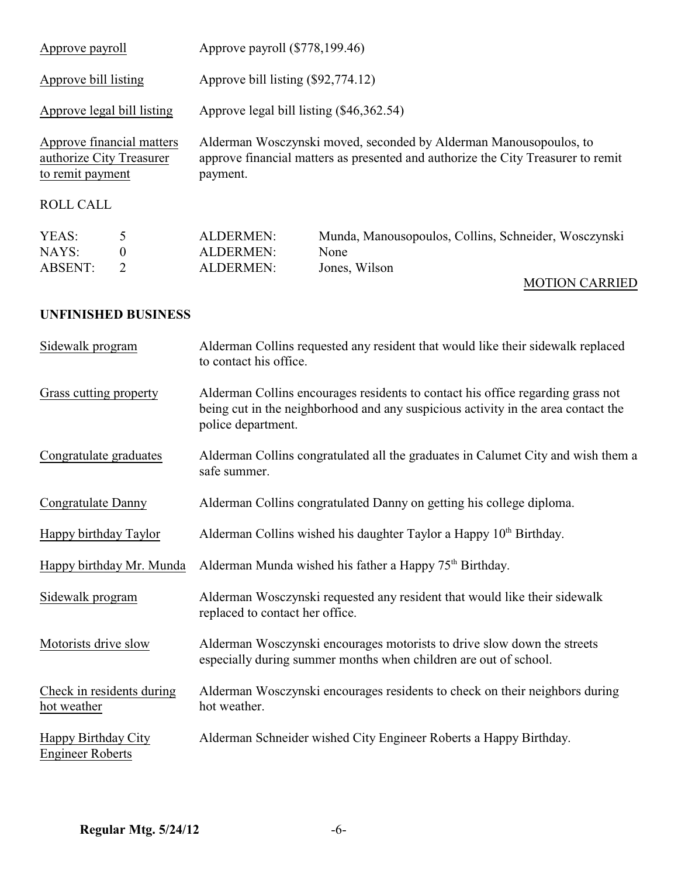| Approve payroll                                                           |                  | Approve payroll (\$778,199.46)                                                                                                                                    |                                                      |
|---------------------------------------------------------------------------|------------------|-------------------------------------------------------------------------------------------------------------------------------------------------------------------|------------------------------------------------------|
| Approve bill listing                                                      |                  | Approve bill listing (\$92,774.12)                                                                                                                                |                                                      |
| Approve legal bill listing                                                |                  | Approve legal bill listing (\$46,362.54)                                                                                                                          |                                                      |
| Approve financial matters<br>authorize City Treasurer<br>to remit payment |                  | Alderman Wosczynski moved, seconded by Alderman Manousopoulos, to<br>approve financial matters as presented and authorize the City Treasurer to remit<br>payment. |                                                      |
| <b>ROLL CALL</b>                                                          |                  |                                                                                                                                                                   |                                                      |
| YEAS:                                                                     | 5                | <b>ALDERMEN:</b>                                                                                                                                                  | Munda, Manousopoulos, Collins, Schneider, Wosczynski |
| NAYS:                                                                     | $\boldsymbol{0}$ | <b>ALDERMEN:</b>                                                                                                                                                  | None                                                 |
| <b>ABSENT:</b>                                                            | $\overline{2}$   | <b>ALDERMEN:</b>                                                                                                                                                  | Jones, Wilson                                        |

# MOTION CARRIED

### **UNFINISHED BUSINESS**

| Sidewalk program                               | Alderman Collins requested any resident that would like their sidewalk replaced<br>to contact his office.                                                                                  |
|------------------------------------------------|--------------------------------------------------------------------------------------------------------------------------------------------------------------------------------------------|
| Grass cutting property                         | Alderman Collins encourages residents to contact his office regarding grass not<br>being cut in the neighborhood and any suspicious activity in the area contact the<br>police department. |
| Congratulate graduates                         | Alderman Collins congratulated all the graduates in Calumet City and wish them a<br>safe summer.                                                                                           |
| Congratulate Danny                             | Alderman Collins congratulated Danny on getting his college diploma.                                                                                                                       |
| Happy birthday Taylor                          | Alderman Collins wished his daughter Taylor a Happy 10 <sup>th</sup> Birthday.                                                                                                             |
| Happy birthday Mr. Munda                       | Alderman Munda wished his father a Happy 75 <sup>th</sup> Birthday.                                                                                                                        |
| Sidewalk program                               | Alderman Wosczynski requested any resident that would like their sidewalk<br>replaced to contact her office.                                                                               |
| Motorists drive slow                           | Alderman Wosczynski encourages motorists to drive slow down the streets<br>especially during summer months when children are out of school.                                                |
| Check in residents during<br>hot weather       | Alderman Wosczynski encourages residents to check on their neighbors during<br>hot weather.                                                                                                |
| Happy Birthday City<br><b>Engineer Roberts</b> | Alderman Schneider wished City Engineer Roberts a Happy Birthday.                                                                                                                          |